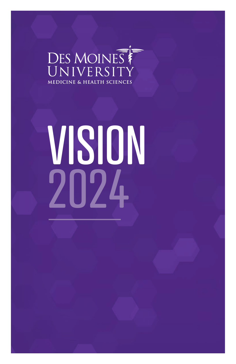## DES MOINES **MEDICINE & HEALTH SCIENCES**

# VISION 2024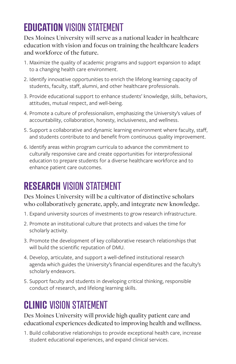## **EDUCATION** VISION STATEMENT

Des Moines University will serve as a national leader in healthcare education with vision and focus on training the healthcare leaders and workforce of the future.

- 1. Maximize the quality of academic programs and support expansion to adapt to a changing health care environment.
- 2. Identify innovative opportunities to enrich the lifelong learning capacity of students, faculty, staff, alumni, and other healthcare professionals.
- 3. Provide educational support to enhance students' knowledge, skills, behaviors, attitudes, mutual respect, and well-being.
- 4. Promote a culture of professionalism, emphasizing the University's values of accountability, collaboration, honesty, inclusiveness, and wellness.
- 5. Support a collaborative and dynamic learning environment where faculty, staff, and students contribute to and benefit from continuous quality improvement.
- 6. Identify areas within program curricula to advance the commitment to culturally responsive care and create opportunities for interprofessional education to prepare students for a diverse healthcare workforce and to enhance patient care outcomes.

## **RESEARCH** VISION STATEMENT

#### Des Moines University will be a cultivator of distinctive scholars who collaboratively generate, apply, and integrate new knowledge.

- 1. Expand university sources of investments to grow research infrastructure.
- 2. Promote an institutional culture that protects and values the time for scholarly activity.
- 3. Promote the development of key collaborative research relationships that will build the scientific reputation of DMU.
- 4. Develop, articulate, and support a well-defined institutional research agenda which guides the University's financial expenditures and the faculty's scholarly endeavors.
- 5. Support faculty and students in developing critical thinking, responsible conduct of research, and lifelong learning skills.

### **CLINIC** VISION STATEMENT

Des Moines University will provide high quality patient care and educational experiences dedicated to improving health and wellness.

1. Build collaborative relationships to provide exceptional health care, increase student educational experiences, and expand clinical services.